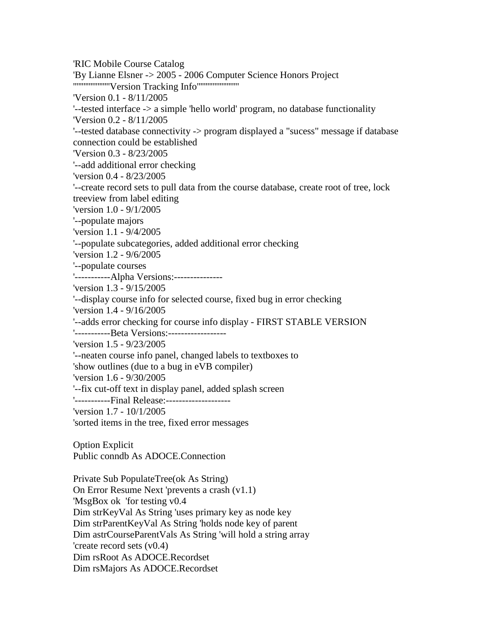'RIC Mobile Course Catalog 'By Lianne Elsner -> 2005 - 2006 Computer Science Honors Project '''''''''''''''''''''Version Tracking Info'''''''''''''''''''''''' 'Version 0.1 - 8/11/2005 '--tested interface -> a simple 'hello world' program, no database functionality 'Version 0.2 - 8/11/2005 '--tested database connectivity -> program displayed a "sucess" message if database connection could be established 'Version 0.3 - 8/23/2005 '--add additional error checking 'version 0.4 - 8/23/2005 '--create record sets to pull data from the course database, create root of tree, lock treeview from label editing 'version 1.0 - 9/1/2005 '--populate majors 'version 1.1 - 9/4/2005 '--populate subcategories, added additional error checking 'version 1.2 - 9/6/2005 '--populate courses '-----------Alpha Versions:--------------- 'version 1.3 - 9/15/2005 '--display course info for selected course, fixed bug in error checking 'version 1.4 - 9/16/2005 '--adds error checking for course info display - FIRST STABLE VERSION '-----------Beta Versions:------------------ 'version 1.5 - 9/23/2005 '--neaten course info panel, changed labels to textboxes to 'show outlines (due to a bug in eVB compiler) 'version 1.6 - 9/30/2005 '--fix cut-off text in display panel, added splash screen '-----------Final Release:-------------------- 'version 1.7 - 10/1/2005 'sorted items in the tree, fixed error messages Option Explicit Public conndb As ADOCE.Connection Private Sub PopulateTree(ok As String) On Error Resume Next 'prevents a crash (v1.1) 'MsgBox ok 'for testing v0.4 Dim strKeyVal As String 'uses primary key as node key Dim strParentKeyVal As String 'holds node key of parent Dim astrCourseParentVals As String 'will hold a string array 'create record sets (v0.4)

Dim rsRoot As ADOCE.Recordset

Dim rsMajors As ADOCE.Recordset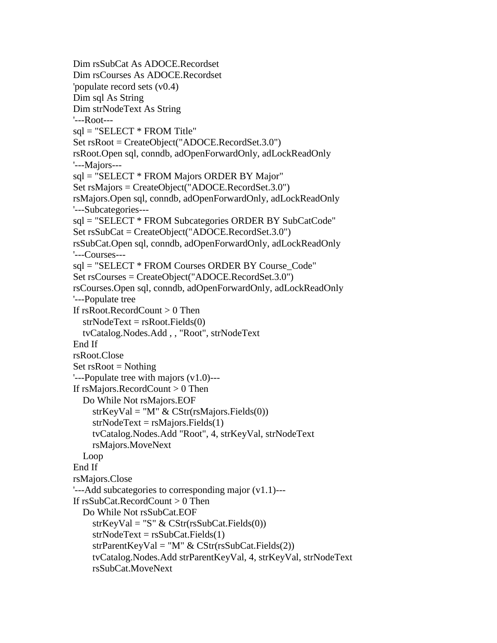```
Dim rsSubCat As ADOCE.Recordset
Dim rsCourses As ADOCE.Recordset
'populate record sets (v0.4)
Dim sql As String
Dim strNodeText As String
'---Root---
sql = "SELECT * FROM Title"Set rsRoot = CreateObject("ADOCE.RecordSet.3.0")
rsRoot.Open sql, conndb, adOpenForwardOnly, adLockReadOnly
'---Majors---
sql = "SELECT * FROM Majors ORDER BY Major"
Set rsMajors = CreateObject("ADOCE.RecordSet.3.0")
rsMajors.Open sql, conndb, adOpenForwardOnly, adLockReadOnly
'---Subcategories---
sql = "SELECT * FROM Subcategories ORDER BY SubCatCode"
Set rsSubCat = CreateObject("ADOCE.RecordSet.3.0")
rsSubCat.Open sql, conndb, adOpenForwardOnly, adLockReadOnly
'---Courses---
sql = "SELECT * FROM Courses ORDER BY Course_Code"
Set rsCourses = CreateObject("ADOCE.RecordSet.3.0")
rsCourses.Open sql, conndb, adOpenForwardOnly, adLockReadOnly
'---Populate tree
If rsRoot|. RecordCount > 0 Then
  strNodeText = rsRoot. Fields(0) tvCatalog.Nodes.Add , , "Root", strNodeText
End If
rsRoot.Close
Set rsRoot = Nothing'---Populate tree with majors (v1.0)---
If rsMajors.RecordCount > 0 Then
   Do While Not rsMajors.EOF
    strKeyVal = "M" \& CStr(rsMajors.Fields(0))strNodeText = rsMajors.Fields(1) tvCatalog.Nodes.Add "Root", 4, strKeyVal, strNodeText
     rsMajors.MoveNext
   Loop
End If
rsMajors.Close
'---Add subcategories to corresponding major (v1.1)---
If rsSubCat.RecordCount > 0 Then
   Do While Not rsSubCat.EOF
    strKeyVal = "S" & CStr(rsSubCat.Fields(0))strNodeText = rsSubCat.Fields(1) strParentKeyVal = "M" & CStr(rsSubCat.Fields(2))
     tvCatalog.Nodes.Add strParentKeyVal, 4, strKeyVal, strNodeText
     rsSubCat.MoveNext
```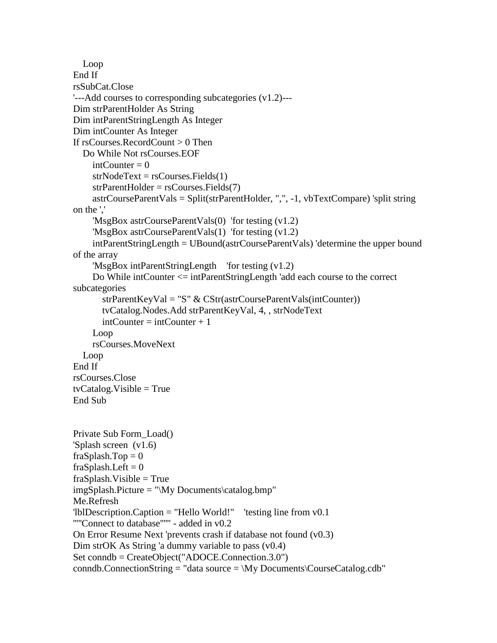```
 Loop
End If
rsSubCat.Close
'---Add courses to corresponding subcategories (v1.2)---
Dim strParentHolder As String
Dim intParentStringLength As Integer
Dim intCounter As Integer
If rsCourses.RecordCount > 0 Then
   Do While Not rsCourses.EOF
    intCounter = 0strNodeText = rsCourse. Fields(1)strParentHolder = rsCourse. Fields(7) astrCourseParentVals = Split(strParentHolder, ",", -1, vbTextCompare) 'split string 
on the ','
     'MsgBox astrCourseParentVals(0) 'for testing (v1.2)
     'MsgBox astrCourseParentVals(1) 'for testing (v1.2)
     intParentStringLength = UBound(astrCourseParentVals) 'determine the upper bound 
of the array
     'MsgBox intParentStringLength 'for testing (v1.2)
     Do While intCounter <= intParentStringLength 'add each course to the correct 
subcategories
        strParentKeyVal = "S" & CStr(astrCourseParentVals(intCounter))
        tvCatalog.Nodes.Add strParentKeyVal, 4, , strNodeText
       intCounter = intCounter + 1Loop.
     rsCourses.MoveNext
   Loop
End If
rsCourses.Close
tvCatalog.Visible = TrueEnd Sub
Private Sub Form_Load()
'Splash screen (v1.6)
fraSplash.Top = 0fraSplash. Left = 0fraSplash.Visible = TrueimgSplash.Picture = "\My Documents\catalog.bmp"
Me.Refresh
'lblDescription.Caption = "Hello World!" 'testing line from v0.1
'''''Connect to database'''''' - added in v0.2
On Error Resume Next 'prevents crash if database not found (v0.3)
Dim strOK As String 'a dummy variable to pass (v0.4)
Set conndb = CreateObject("ADOCE.Connection.3.0")
conndb.ConnectionString = "data source = \My Documents\Conname{Cauchy}"
```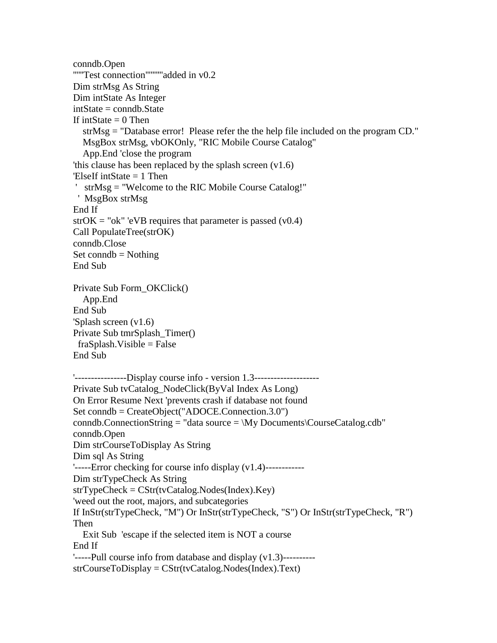```
conndb.Open
''''''Test connection''''''''''added in v0.2
Dim strMsg As String
Dim intState As Integer
intState = conndb.State
If intState = 0 Then
   strMsg = "Database error! Please refer the the help file included on the program CD."
   MsgBox strMsg, vbOKOnly, "RIC Mobile Course Catalog"
   App.End 'close the program
'this clause has been replaced by the splash screen (v1.6)
'ElseIf intState = 1 Then
' strMsg = "Welcome to the RIC Mobile Course Catalog!"
  ' MsgBox strMsg
End If
strOK = "ok" 'eVB requires that parameter is passed (v0.4)Call PopulateTree(strOK)
conndb.Close
Set conndb = Nothing
End Sub
Private Sub Form_OKClick()
   App.End
End Sub
'Splash screen (v1.6)
Private Sub tmrSplash_Timer()
 fraSplash.Visible = FalseEnd Sub
'----------------Display course info - version 1.3--------------------
Private Sub tvCatalog_NodeClick(ByVal Index As Long)
On Error Resume Next 'prevents crash if database not found
Set conndb = CreateObject("ADOCE.Connection.3.0")
conndb.ConnectionString = "data source = \My Documents\C{C}urseCatalog.cdb"
conndb.Open
Dim strCourseToDisplay As String
Dim sql As String
'-----Error checking for course info display (v1.4)------------
Dim strTypeCheck As String
strTypeCheck = CStr(tvCatalog.Nodes(Index).Key)
'weed out the root, majors, and subcategories
If InStr(strTypeCheck, "M") Or InStr(strTypeCheck, "S") Or InStr(strTypeCheck, "R") 
Then
   Exit Sub 'escape if the selected item is NOT a course
End If
'-----Pull course info from database and display (v1.3)----------
strCourseToDisplay = CStr(tvCatalog.Nodes(Index).Text)
```